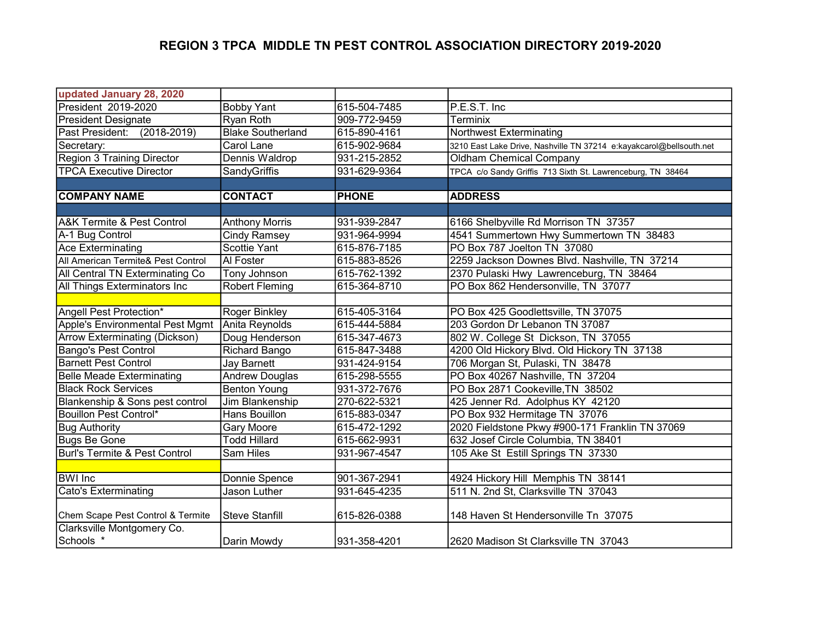| updated January 28, 2020                  |                          |              |                                                                     |
|-------------------------------------------|--------------------------|--------------|---------------------------------------------------------------------|
| President 2019-2020                       | <b>Bobby Yant</b>        | 615-504-7485 | P.E.S.T. Inc                                                        |
| <b>President Designate</b>                | Ryan Roth                | 909-772-9459 | Terminix                                                            |
| Past President: (2018-2019)               | <b>Blake Southerland</b> | 615-890-4161 | Northwest Exterminating                                             |
| Secretary:                                | Carol Lane               | 615-902-9684 | 3210 East Lake Drive, Nashville TN 37214 e:kayakcarol@bellsouth.net |
| <b>Region 3 Training Director</b>         | Dennis Waldrop           | 931-215-2852 | <b>Oldham Chemical Company</b>                                      |
| <b>TPCA Executive Director</b>            | <b>SandyGriffis</b>      | 931-629-9364 | TPCA c/o Sandy Griffis 713 Sixth St. Lawrenceburg, TN 38464         |
|                                           |                          |              |                                                                     |
| <b>COMPANY NAME</b>                       | <b>CONTACT</b>           | <b>PHONE</b> | <b>ADDRESS</b>                                                      |
|                                           |                          |              |                                                                     |
| <b>A&amp;K Termite &amp; Pest Control</b> | <b>Anthony Morris</b>    | 931-939-2847 | 6166 Shelbyville Rd Morrison TN 37357                               |
| A-1 Bug Control                           | <b>Cindy Ramsey</b>      | 931-964-9994 | 4541 Summertown Hwy Summertown TN 38483                             |
| <b>Ace Exterminating</b>                  | Scottie Yant             | 615-876-7185 | PO Box 787 Joelton TN 37080                                         |
| All American Termite& Pest Control        | Al Foster                | 615-883-8526 | 2259 Jackson Downes Blvd. Nashville, TN 37214                       |
| All Central TN Exterminating Co           | Tony Johnson             | 615-762-1392 | 2370 Pulaski Hwy Lawrenceburg, TN 38464                             |
| All Things Exterminators Inc              | <b>Robert Fleming</b>    | 615-364-8710 | PO Box 862 Hendersonville, TN 37077                                 |
|                                           |                          |              |                                                                     |
| Angell Pest Protection*                   | Roger Binkley            | 615-405-3164 | PO Box 425 Goodlettsville, TN 37075                                 |
| Apple's Environmental Pest Mgmt           | Anita Reynolds           | 615-444-5884 | 203 Gordon Dr Lebanon TN 37087                                      |
| Arrow Exterminating (Dickson)             | Doug Henderson           | 615-347-4673 | 802 W. College St Dickson, TN 37055                                 |
| <b>Bango's Pest Control</b>               | Richard Bango            | 615-847-3488 | 4200 Old Hickory Blvd. Old Hickory TN 37138                         |
| <b>Barnett Pest Control</b>               | <b>Jay Barnett</b>       | 931-424-9154 | 706 Morgan St, Pulaski, TN 38478                                    |
| <b>Belle Meade Exterminating</b>          | <b>Andrew Douglas</b>    | 615-298-5555 | PO Box 40267 Nashville, TN 37204                                    |
| <b>Black Rock Services</b>                | <b>Benton Young</b>      | 931-372-7676 | PO Box 2871 Cookeville, TN 38502                                    |
| Blankenship & Sons pest control           | Jim Blankenship          | 270-622-5321 | 425 Jenner Rd. Adolphus KY 42120                                    |
| <b>Bouillon Pest Control*</b>             | Hans Bouillon            | 615-883-0347 | PO Box 932 Hermitage TN 37076                                       |
| <b>Bug Authority</b>                      | <b>Gary Moore</b>        | 615-472-1292 | 2020 Fieldstone Pkwy #900-171 Franklin TN 37069                     |
| <b>Bugs Be Gone</b>                       | <b>Todd Hillard</b>      | 615-662-9931 | 632 Josef Circle Columbia, TN 38401                                 |
| <b>Burl's Termite &amp; Pest Control</b>  | Sam Hiles                | 931-967-4547 | 105 Ake St Estill Springs TN 37330                                  |
|                                           |                          |              |                                                                     |
| <b>BWI</b> Inc                            | <b>Donnie Spence</b>     | 901-367-2941 | 4924 Hickory Hill Memphis TN 38141                                  |
| <b>Cato's Exterminating</b>               | <b>Jason Luther</b>      | 931-645-4235 | 511 N. 2nd St, Clarksville TN 37043                                 |
|                                           |                          |              |                                                                     |
| Chem Scape Pest Control & Termite         | <b>Steve Stanfill</b>    | 615-826-0388 | 148 Haven St Hendersonville Tn 37075                                |
| Clarksville Montgomery Co.                |                          |              |                                                                     |
| Schools *                                 | Darin Mowdy              | 931-358-4201 | 2620 Madison St Clarksville TN 37043                                |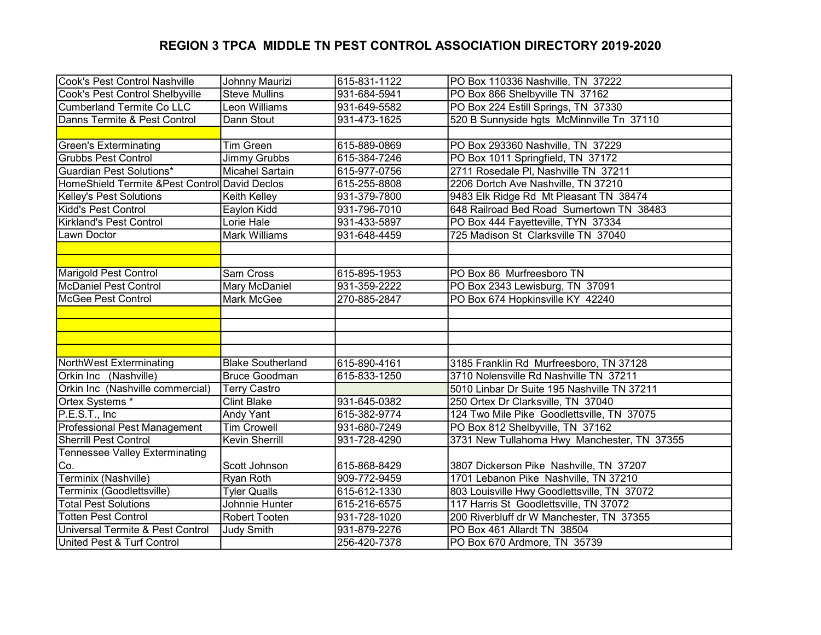| Cook's Pest Control Nashville                  | Johnny Maurizi           | 615-831-1122 | PO Box 110336 Nashville, TN 37222           |
|------------------------------------------------|--------------------------|--------------|---------------------------------------------|
| Cook's Pest Control Shelbyville                | <b>Steve Mullins</b>     | 931-684-5941 | PO Box 866 Shelbyville TN 37162             |
| <b>Cumberland Termite Co LLC</b>               | Leon Williams            | 931-649-5582 | PO Box 224 Estill Springs, TN 37330         |
| Danns Termite & Pest Control                   | Dann Stout               | 931-473-1625 | 520 B Sunnyside hgts McMinnville Tn 37110   |
|                                                |                          |              |                                             |
| <b>Green's Exterminating</b>                   | <b>Tim Green</b>         | 615-889-0869 | PO Box 293360 Nashville, TN 37229           |
| <b>Grubbs Pest Control</b>                     | Jimmy Grubbs             | 615-384-7246 | PO Box 1011 Springfield, TN 37172           |
| <b>Guardian Pest Solutions*</b>                | <b>Micahel Sartain</b>   | 615-977-0756 | 2711 Rosedale PI, Nashville TN 37211        |
| HomeShield Termite & Pest Control David Declos |                          | 615-255-8808 | 2206 Dortch Ave Nashville, TN 37210         |
| Kelley's Pest Solutions                        | Keith Kelley             | 931-379-7800 | 9483 Elk Ridge Rd Mt Pleasant TN 38474      |
| Kidd's Pest Control                            | Eaylon Kidd              | 931-796-7010 | 648 Railroad Bed Road Sumertown TN 38483    |
| Kirkland's Pest Control                        | Lorie Hale               | 931-433-5897 | PO Box 444 Fayetteville, TYN 37334          |
| Lawn Doctor                                    | <b>Mark Williams</b>     | 931-648-4459 | 725 Madison St Clarksville TN 37040         |
|                                                |                          |              |                                             |
|                                                |                          |              |                                             |
| <b>Marigold Pest Control</b>                   | Sam Cross                | 615-895-1953 | PO Box 86 Murfreesboro TN                   |
| <b>McDaniel Pest Control</b>                   | Mary McDaniel            | 931-359-2222 | PO Box 2343 Lewisburg, TN 37091             |
| <b>McGee Pest Control</b>                      | Mark McGee               | 270-885-2847 | PO Box 674 Hopkinsville KY 42240            |
|                                                |                          |              |                                             |
|                                                |                          |              |                                             |
|                                                |                          |              |                                             |
|                                                |                          |              |                                             |
| NorthWest Exterminating                        | <b>Blake Southerland</b> | 615-890-4161 | 3185 Franklin Rd Murfreesboro, TN 37128     |
| Orkin Inc (Nashville)                          | <b>Bruce Goodman</b>     | 615-833-1250 | 3710 Nolensville Rd Nashville TN 37211      |
| Orkin Inc (Nashville commercial)               | <b>Terry Castro</b>      |              | 5010 Linbar Dr Suite 195 Nashville TN 37211 |
| Ortex Systems *                                | <b>Clint Blake</b>       | 931-645-0382 | 250 Ortex Dr Clarksville, TN 37040          |
| P.E.S.T., Inc                                  | Andy Yant                | 615-382-9774 | 124 Two Mile Pike Goodlettsville, TN 37075  |
| <b>Professional Pest Management</b>            | <b>Tim Crowell</b>       | 931-680-7249 | PO Box 812 Shelbyville, TN 37162            |
| <b>Sherrill Pest Control</b>                   | Kevin Sherrill           | 931-728-4290 | 3731 New Tullahoma Hwy Manchester, TN 37355 |
| <b>Tennessee Valley Exterminating</b>          |                          |              |                                             |
| Co.                                            | Scott Johnson            | 615-868-8429 | 3807 Dickerson Pike Nashville, TN 37207     |
| Terminix (Nashville)                           | Ryan Roth                | 909-772-9459 | 1701 Lebanon Pike Nashville, TN 37210       |
| Terminix (Goodlettsville)                      | <b>Tyler Qualls</b>      | 615-612-1330 | 803 Louisville Hwy Goodlettsville, TN 37072 |
| <b>Total Pest Solutions</b>                    | Johnnie Hunter           | 615-216-6575 | 117 Harris St Goodlettsville, TN 37072      |
| <b>Totten Pest Control</b>                     | <b>Robert Tooten</b>     | 931-728-1020 | 200 Riverbluff dr W Manchester, TN 37355    |
| Universal Termite & Pest Control               | <b>Judy Smith</b>        | 931-879-2276 | PO Box 461 Allardt TN 38504                 |
| United Pest & Turf Control                     |                          | 256-420-7378 | PO Box 670 Ardmore, TN 35739                |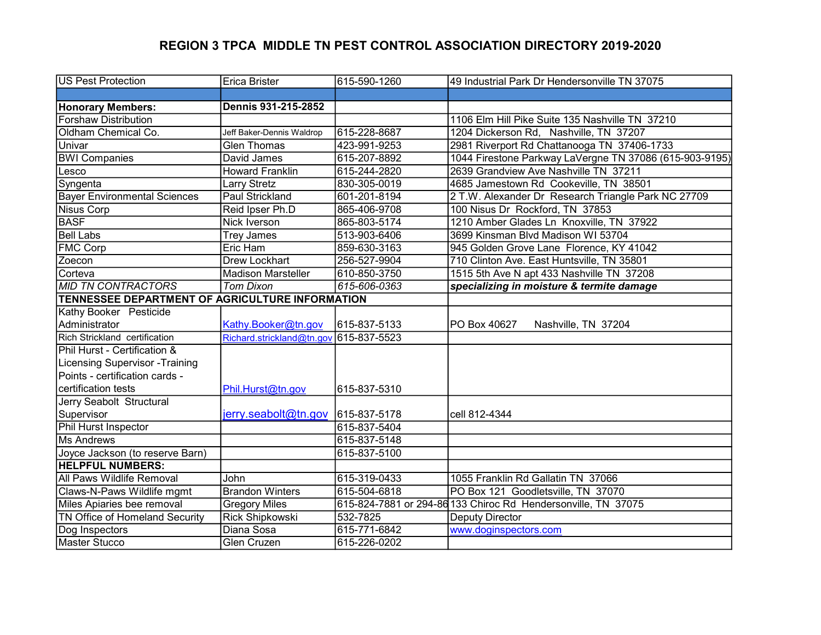| <b>US Pest Protection</b>                       | <b>Erica Brister</b>                   | 615-590-1260 | 49 Industrial Park Dr Hendersonville TN 37075                 |
|-------------------------------------------------|----------------------------------------|--------------|---------------------------------------------------------------|
|                                                 |                                        |              |                                                               |
| <b>Honorary Members:</b>                        | Dennis 931-215-2852                    |              |                                                               |
| <b>Forshaw Distribution</b>                     |                                        |              | 1106 Elm Hill Pike Suite 135 Nashville TN 37210               |
| Oldham Chemical Co.                             | Jeff Baker-Dennis Waldrop              | 615-228-8687 | 1204 Dickerson Rd, Nashville, TN 37207                        |
| Univar                                          | <b>Glen Thomas</b>                     | 423-991-9253 | 2981 Riverport Rd Chattanooga TN 37406-1733                   |
| <b>BWI Companies</b>                            | David James                            | 615-207-8892 | 1044 Firestone Parkway LaVergne TN 37086 (615-903-9195)       |
| Lesco                                           | <b>Howard Franklin</b>                 | 615-244-2820 | 2639 Grandview Ave Nashville TN 37211                         |
| Syngenta                                        | <b>Larry Stretz</b>                    | 830-305-0019 | 4685 Jamestown Rd Cookeville, TN 38501                        |
| <b>Bayer Environmental Sciences</b>             | <b>Paul Strickland</b>                 | 601-201-8194 | 2 T.W. Alexander Dr Research Triangle Park NC 27709           |
| <b>Nisus Corp</b>                               | Reid Ipser Ph.D                        | 865-406-9708 | 100 Nisus Dr Rockford, TN 37853                               |
| <b>BASF</b>                                     | Nick Iverson                           | 865-803-5174 | 1210 Amber Glades Ln Knoxville, TN 37922                      |
| <b>Bell Labs</b>                                | <b>Trey James</b>                      | 513-903-6406 | 3699 Kinsman Blvd Madison WI 53704                            |
| <b>FMC Corp</b>                                 | Eric Ham                               | 859-630-3163 | 945 Golden Grove Lane Florence, KY 41042                      |
| Zoecon                                          | <b>Drew Lockhart</b>                   | 256-527-9904 | 710 Clinton Ave. East Huntsville, TN 35801                    |
| Corteva                                         | <b>Madison Marsteller</b>              | 610-850-3750 | 1515 5th Ave N apt 433 Nashville TN 37208                     |
| <b>MID TN CONTRACTORS</b>                       | <b>Tom Dixon</b>                       | 615-606-0363 | specializing in moisture & termite damage                     |
| TENNESSEE DEPARTMENT OF AGRICULTURE INFORMATION |                                        |              |                                                               |
| Kathy Booker Pesticide                          |                                        |              |                                                               |
| Administrator                                   | Kathy.Booker@tn.gov                    | 615-837-5133 | PO Box 40627<br>Nashville, TN 37204                           |
| Rich Strickland certification                   | Richard.strickland@tn.gov 615-837-5523 |              |                                                               |
| Phil Hurst - Certification &                    |                                        |              |                                                               |
| <b>Licensing Supervisor - Training</b>          |                                        |              |                                                               |
| Points - certification cards -                  |                                        |              |                                                               |
| certification tests                             | Phil.Hurst@tn.gov                      | 615-837-5310 |                                                               |
| Jerry Seabolt Structural                        |                                        |              |                                                               |
| Supervisor                                      | $jerry.seabolt@tn.gov$ 615-837-5178    |              | cell 812-4344                                                 |
| Phil Hurst Inspector                            |                                        | 615-837-5404 |                                                               |
| <b>Ms Andrews</b>                               |                                        | 615-837-5148 |                                                               |
| Joyce Jackson (to reserve Barn)                 |                                        | 615-837-5100 |                                                               |
| <b>HELPFUL NUMBERS:</b>                         |                                        |              |                                                               |
| <b>All Paws Wildlife Removal</b>                | John                                   | 615-319-0433 | 1055 Franklin Rd Gallatin TN 37066                            |
| Claws-N-Paws Wildlife mgmt                      | <b>Brandon Winters</b>                 | 615-504-6818 | PO Box 121 Goodletsville, TN 37070                            |
| Miles Apiaries bee removal                      | <b>Gregory Miles</b>                   |              | 615-824-7881 or 294-86 133 Chiroc Rd Hendersonville, TN 37075 |
| <b>TN Office of Homeland Security</b>           | <b>Rick Shipkowski</b>                 | 532-7825     | <b>Deputy Director</b>                                        |
| Dog Inspectors                                  | Diana Sosa                             | 615-771-6842 | www.doginspectors.com                                         |
| Master Stucco                                   | <b>Glen Cruzen</b>                     | 615-226-0202 |                                                               |